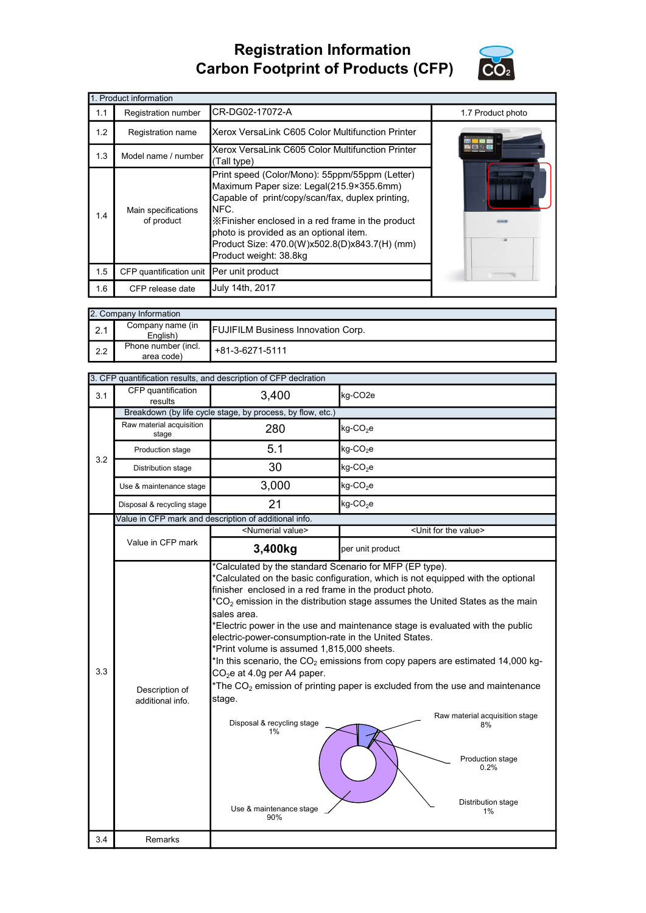## Registration Information Carbon Footprint of Products (CFP)



٦

|     | 1. Product information            |                                                                                                                                                                                                                                                                                                                                   |                   |
|-----|-----------------------------------|-----------------------------------------------------------------------------------------------------------------------------------------------------------------------------------------------------------------------------------------------------------------------------------------------------------------------------------|-------------------|
| 1.1 | Registration number               | ICR-DG02-17072-A                                                                                                                                                                                                                                                                                                                  | 1.7 Product photo |
| 1.2 | Registration name                 | Xerox VersaLink C605 Color Multifunction Printer                                                                                                                                                                                                                                                                                  |                   |
| 1.3 | Model name / number               | Xerox VersaLink C605 Color Multifunction Printer<br>(Tall type)                                                                                                                                                                                                                                                                   |                   |
| 1.4 | Main specifications<br>of product | Print speed (Color/Mono): 55ppm/55ppm (Letter)<br>Maximum Paper size: Legal(215.9×355.6mm)<br>Capable of print/copy/scan/fax, duplex printing,<br>INFC.<br>X Finisher enclosed in a red frame in the product<br>photo is provided as an optional item.<br>Product Size: 470.0(W)x502.8(D)x843.7(H) (mm)<br>Product weight: 38.8kg |                   |
| 1.5 | CFP quantification unit           | Per unit product                                                                                                                                                                                                                                                                                                                  |                   |
| 1.6 | CFP release date                  | July 14th, 2017                                                                                                                                                                                                                                                                                                                   |                   |

| 2. Company Information |                                   |                                           |  |  |  |
|------------------------|-----------------------------------|-------------------------------------------|--|--|--|
| 2.1                    | Company name (in<br>English)      | <b>FUJIFILM Business Innovation Corp.</b> |  |  |  |
| 2.2                    | Phone number (incl.<br>area code) | +81-3-6271-5111                           |  |  |  |

|  | 3. CFP quantification results, and description of CFP deciration |  |  |  |
|--|------------------------------------------------------------------|--|--|--|
|  |                                                                  |  |  |  |

| 3.1 | CFP quantification<br>results      | 3,400                                                                                                                                                                                                                                                                                                   | kg-CO <sub>2e</sub>                                                                                                                                                                                                                                                                                                                                                                                                                                 |  |  |
|-----|------------------------------------|---------------------------------------------------------------------------------------------------------------------------------------------------------------------------------------------------------------------------------------------------------------------------------------------------------|-----------------------------------------------------------------------------------------------------------------------------------------------------------------------------------------------------------------------------------------------------------------------------------------------------------------------------------------------------------------------------------------------------------------------------------------------------|--|--|
|     |                                    | Breakdown (by life cycle stage, by process, by flow, etc.)                                                                                                                                                                                                                                              |                                                                                                                                                                                                                                                                                                                                                                                                                                                     |  |  |
|     | Raw material acquisition<br>stage  | 280                                                                                                                                                                                                                                                                                                     | $kg$ -CO <sub>2</sub> e                                                                                                                                                                                                                                                                                                                                                                                                                             |  |  |
|     | Production stage                   | 5.1                                                                                                                                                                                                                                                                                                     | kg-CO <sub>2</sub> e                                                                                                                                                                                                                                                                                                                                                                                                                                |  |  |
| 3.2 | Distribution stage                 | 30<br>$kg$ -CO <sub>2</sub> e                                                                                                                                                                                                                                                                           |                                                                                                                                                                                                                                                                                                                                                                                                                                                     |  |  |
|     | Use & maintenance stage            | 3,000                                                                                                                                                                                                                                                                                                   | kg-CO <sub>2</sub> e                                                                                                                                                                                                                                                                                                                                                                                                                                |  |  |
|     | Disposal & recycling stage         | 21                                                                                                                                                                                                                                                                                                      | $kg$ -CO <sub>2</sub> e                                                                                                                                                                                                                                                                                                                                                                                                                             |  |  |
|     |                                    | Value in CFP mark and description of additional info.                                                                                                                                                                                                                                                   |                                                                                                                                                                                                                                                                                                                                                                                                                                                     |  |  |
|     |                                    | <numerial value=""></numerial>                                                                                                                                                                                                                                                                          | <unit for="" the="" value=""></unit>                                                                                                                                                                                                                                                                                                                                                                                                                |  |  |
|     | Value in CFP mark                  | 3,400kg                                                                                                                                                                                                                                                                                                 | per unit product                                                                                                                                                                                                                                                                                                                                                                                                                                    |  |  |
| 3.3 | Description of<br>additional info. | finisher enclosed in a red frame in the product photo.<br>sales area.<br>electric-power-consumption-rate in the United States.<br>*Print volume is assumed 1,815,000 sheets.<br>CO <sub>2</sub> e at 4.0g per A4 paper.<br>stage.<br>Disposal & recycling stage<br>1%<br>Use & maintenance stage<br>90% | $*$ CO <sub>2</sub> emission in the distribution stage assumes the United States as the main<br>*Electric power in the use and maintenance stage is evaluated with the public<br>*In this scenario, the $CO2$ emissions from copy papers are estimated 14,000 kg-<br>*The $CO2$ emission of printing paper is excluded from the use and maintenance<br>Raw material acquisition stage<br>8%<br>Production stage<br>0.2%<br>Distribution stage<br>1% |  |  |
| 3.4 | Remarks                            |                                                                                                                                                                                                                                                                                                         |                                                                                                                                                                                                                                                                                                                                                                                                                                                     |  |  |